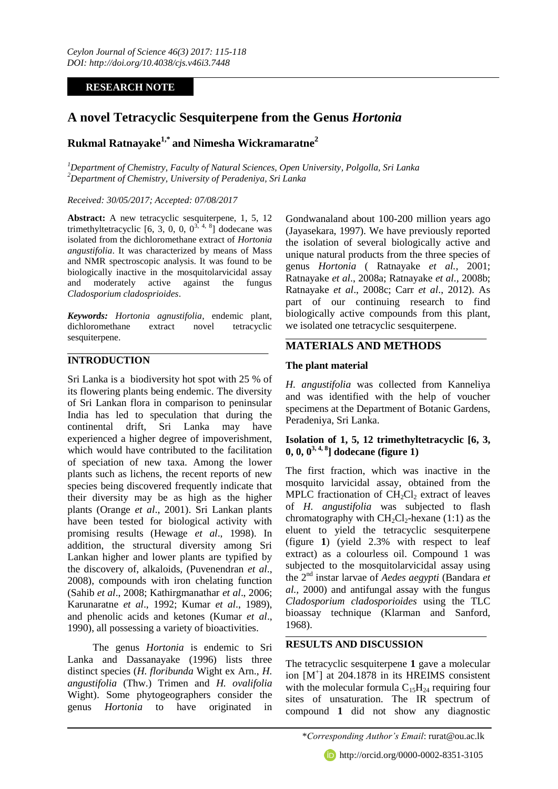## **RESEARCH NOTE**

# **A novel Tetracyclic Sesquiterpene from the Genus** *Hortonia*

# **Rukmal Ratnayake1,\* and Nimesha Wickramaratne<sup>2</sup>**

*<sup>1</sup>Department of Chemistry, Faculty of Natural Sciences, Open University, Polgolla, Sri Lanka <sup>2</sup>Department of Chemistry, University of Peradeniya, Sri Lanka*

*Received: 30/05/2017; Accepted: 07/08/2017*

**Abstract:** A new tetracyclic sesquiterpene, 1, 5, 12 trimethyltetracyclic  $[6, 3, 0, 0, 0<sup>3, 4, 8</sup>]$  dodecane was isolated from the dichloromethane extract of *Hortonia angustifolia*. It was characterized by means of Mass and NMR spectroscopic analysis. It was found to be biologically inactive in the mosquitolarvicidal assay and moderately active against the fungus *Cladosporium cladosprioides*.

*Keywords: Hortonia agnustifolia*, endemic plant, dichloromethane extract novel tetracyclic sesquiterpene.

## **INTRODUCTION**

Sri Lanka is a biodiversity hot spot with 25 % of its flowering plants being endemic. The diversity of Sri Lankan flora in comparison to peninsular India has led to speculation that during the continental drift, Sri Lanka may have experienced a higher degree of impoverishment, which would have contributed to the facilitation of speciation of new taxa. Among the lower plants such as lichens, the recent reports of new species being discovered frequently indicate that their diversity may be as high as the higher plants (Orange *et al*., 2001). Sri Lankan plants have been tested for biological activity with promising results (Hewage *et al*., 1998). In addition, the structural diversity among Sri Lankan higher and lower plants are typified by the discovery of, alkaloids, (Puvenendran *et al*., 2008), compounds with iron chelating function (Sahib *et al*., 2008; Kathirgmanathar *et al*., 2006; Karunaratne *et al*., 1992; Kumar *et al*., 1989), and phenolic acids and ketones (Kumar *et al*., 1990), all possessing a variety of bioactivities.

The genus *Hortonia* is endemic to Sri Lanka and Dassanayake (1996) lists three distinct species (*H. floribunda* Wight ex Arn., *H. angustifolia* (Thw.) Trimen and *H. ovalifolia* Wight). Some phytogeographers consider the genus *Hortonia* to have originated in

Gondwanaland about 100-200 million years ago (Jayasekara, 1997). We have previously reported the isolation of several biologically active and unique natural products from the three species of genus *Hortonia* ( Ratnayake *et al.,* 2001; Ratnayake *et al*., 2008a; Ratnayake *et al.,* 2008b; Ratnayake *et al*., 2008c; Carr *et al*., 2012). As part of our continuing research to find biologically active compounds from this plant, we isolated one tetracyclic sesquiterpene.

## **MATERIALS AND METHODS**

## **The plant material**

*H. angustifolia* was collected from Kanneliya and was identified with the help of voucher specimens at the Department of Botanic Gardens, Peradeniya, Sri Lanka.

## **Isolation of 1, 5, 12 trimethyltetracyclic [6, 3, 0, 0, 03, 4, 8] dodecane (figure 1)**

The first fraction, which was inactive in the mosquito larvicidal assay, obtained from the MPLC fractionation of  $CH_2Cl_2$  extract of leaves of *H. angustifolia* was subjected to flash chromatography with  $CH<sub>2</sub>Cl<sub>2</sub>$ -hexane (1:1) as the eluent to yield the tetracyclic sesquiterpene (figure **1**) (yield 2.3% with respect to leaf extract) as a colourless oil. Compound 1 was subjected to the mosquitolarvicidal assay using the 2nd instar larvae of *Aedes aegypti* (Bandara *et al.,* 2000) and antifungal assay with the fungus *Cladosporium cladosporioides* using the TLC bioassay technique (Klarman and Sanford, 1968).

## **RESULTS AND DISCUSSION**

The tetracyclic sesquiterpene **1** gave a molecular ion [M<sup>+</sup> ] at 204.1878 in its HREIMS consistent with the molecular formula  $C_{15}H_{24}$  requiring four sites of unsaturation. The IR spectrum of compound **1** did not show any diagnostic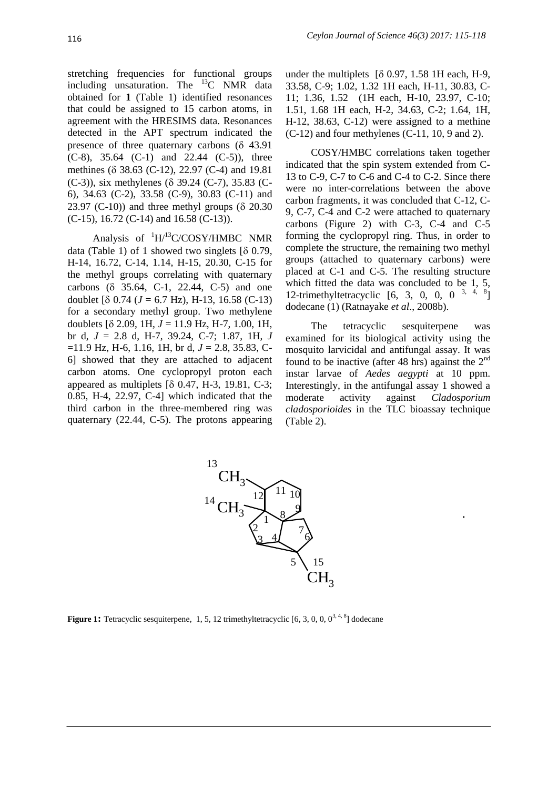stretching frequencies for functional groups including unsaturation. The <sup>13</sup>C NMR data obtained for **1** (Table 1) identified resonances that could be assigned to 15 carbon atoms, in agreement with the HRESIMS data. Resonances detected in the APT spectrum indicated the presence of three quaternary carbons  $(\delta$  43.91 (C-8), 35.64 (C-1) and 22.44 (C-5)), three methines ( $\delta$  38.63 (C-12), 22.97 (C-4) and 19.81 (C-3)), six methylenes ( $\delta$  39.24 (C-7), 35.83 (C-6), 34.63 (C-2), 33.58 (C-9), 30.83 (C-11) and 23.97 (C-10)) and three methyl groups  $(8, 20.30)$ (C-15), 16.72 (C-14) and 16.58 (C-13)).

Analysis of  ${}^{1}$ H/<sup>13</sup>C/COSY/HMBC NMR data (Table 1) of 1 showed two singlets  $[8 0.79,$ H-14, 16.72, C-14, 1.14, H-15, 20.30, C-15 for the methyl groups correlating with quaternary carbons  $( \delta \ 35.64, \ C-1, \ 22.44, \ C-5)$  and one doublet  $[8 \ 0.74 \ (J = 6.7 \ Hz)$ , H-13, 16.58 (C-13) for a secondary methyl group. Two methylene doublets  $\delta$  2.09, 1H,  $J = 11.9$  Hz, H-7, 1.00, 1H, br d, *J* = 2.8 d, H-7, 39.24, C-7; 1.87, 1H, *J* =11.9 Hz, H-6, 1.16, 1H, br d, *J* = 2.8, 35.83, C-6] showed that they are attached to adjacent carbon atoms. One cyclopropyl proton each appeared as multiplets  $[8 0.47, H-3, 19.81, C-3;$ 0.85, H-4, 22.97, C-4] which indicated that the third carbon in the three-membered ring was quaternary (22.44, C-5). The protons appearing

under the multiplets  $[8 0.97, 1.58 1H$  each, H-9, 33.58, C-9; 1.02, 1.32 1H each, H-11, 30.83, C-11; 1.36, 1.52 (1H each, H-10, 23.97, C-10; 1.51, 1.68 1H each, H-2, 34.63, C-2; 1.64, 1H, H-12, 38.63, C-12) were assigned to a methine (C-12) and four methylenes (C-11, 10, 9 and 2).

COSY/HMBC correlations taken together indicated that the spin system extended from C-13 to C-9, C-7 to C-6 and C-4 to C-2. Since there were no inter-correlations between the above carbon fragments, it was concluded that C-12, C-9, C-7, C-4 and C-2 were attached to quaternary carbons (Figure 2) with C-3, C-4 and C-5 forming the cyclopropyl ring. Thus, in order to complete the structure, the remaining two methyl groups (attached to quaternary carbons) were placed at C-1 and C-5. The resulting structure which fitted the data was concluded to be 1, 5, 12-trimethyltetracyclic  $[6, 3, 0, 0, 0^{3, 4, 8}]$ dodecane (1) (Ratnayake *et al*., 2008b).

The tetracyclic sesquiterpene was examined for its biological activity using the mosquito larvicidal and antifungal assay. It was found to be inactive (after 48 hrs) against the  $2<sup>nd</sup>$ instar larvae of *Aedes aegypti* at 10 ppm. Interestingly, in the antifungal assay 1 showed a moderate activity against *Cladosporium cladosporioides* in the TLC bioassay technique (Table 2).



**Figure 1:** Tetracyclic sesquiterpene, 1, 5, 12 trimethyltetracyclic  $[6, 3, 0, 0, 0^{3, 4, 8}]$  dodecane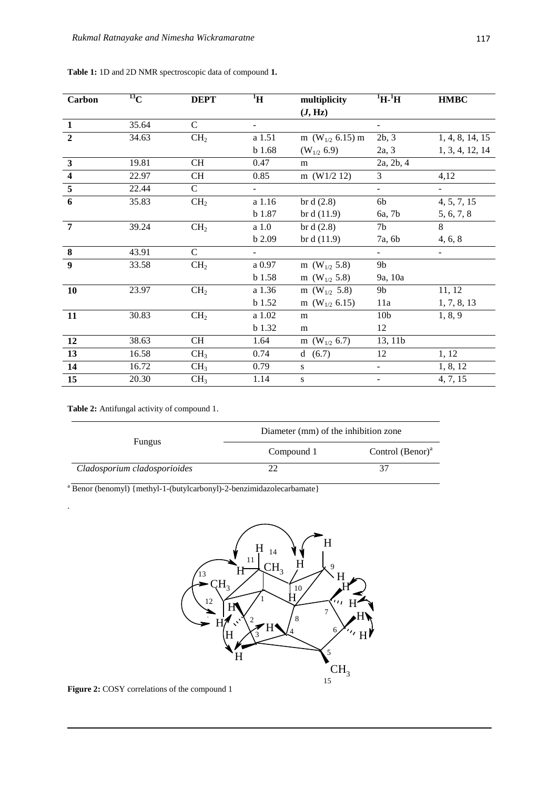| Carbon                  | $^{13}$ C | <b>DEPT</b>     | $\rm ^1H$                | multiplicity             | $\rm ^1H$ - $\rm ^1H$    | <b>HMBC</b>     |
|-------------------------|-----------|-----------------|--------------------------|--------------------------|--------------------------|-----------------|
|                         |           |                 |                          | (J, Hz)                  |                          |                 |
| $\mathbf{1}$            | 35.64     | $\mathcal{C}$   | $\overline{\phantom{0}}$ |                          | $\blacksquare$           |                 |
| $\overline{2}$          | 34.63     | CH <sub>2</sub> | a 1.51                   | m ( $W_{1/2}$ 6.15) m    | 2b, 3                    | 1, 4, 8, 14, 15 |
|                         |           |                 | b 1.68                   | $(W_{1/2} 6.9)$          | 2a, 3                    | 1, 3, 4, 12, 14 |
| $\mathbf{3}$            | 19.81     | <b>CH</b>       | 0.47                     | m                        | 2a, 2b, 4                |                 |
| $\overline{\mathbf{4}}$ | 22.97     | <b>CH</b>       | 0.85                     | m $(W1/2 12)$            | 3                        | 4,12            |
| $\overline{\mathbf{5}}$ | 22.44     | $\mathcal{C}$   |                          |                          | $\blacksquare$           |                 |
| $\boldsymbol{6}$        | 35.83     | CH <sub>2</sub> | a 1.16                   | br d $(2.8)$             | 6b                       | 4, 5, 7, 15     |
|                         |           |                 | b 1.87                   | br d $(11.9)$            | 6a, 7b                   | 5, 6, 7, 8      |
| $\overline{7}$          | 39.24     | CH <sub>2</sub> | a <sub>1.0</sub>         | br d $(2.8)$             | 7 <sub>b</sub>           | 8               |
|                         |           |                 | b 2.09                   | br d $(11.9)$            | 7a, 6b                   | 4, 6, 8         |
| 8                       | 43.91     | $\overline{C}$  |                          |                          | $\blacksquare$           | $\blacksquare$  |
| $\boldsymbol{9}$        | 33.58     | CH <sub>2</sub> | a 0.97                   | m (W <sub>1/2</sub> 5.8) | 9 <sub>b</sub>           |                 |
|                         |           |                 | $b$ 1.58                 | m (W <sub>1/2</sub> 5.8) | 9a, 10a                  |                 |
| <b>10</b>               | 23.97     | CH <sub>2</sub> | a 1.36                   | m ( $W_{1/2}$ 5.8)       | 9 <sub>b</sub>           | 11, 12          |
|                         |           |                 | b 1.52                   | m ( $W_{1/2}$ 6.15)      | 11a                      | 1, 7, 8, 13     |
| 11                      | 30.83     | CH <sub>2</sub> | a 1.02                   | m                        | 10 <sub>b</sub>          | 1, 8, 9         |
|                         |           |                 | <b>b</b> 1.32            | m                        | 12                       |                 |
| 12                      | 38.63     | CH              | 1.64                     | m ( $W_{1/2}$ 6.7)       | 13, 11b                  |                 |
| 13                      | 16.58     | CH <sub>3</sub> | 0.74                     | d(6.7)                   | 12                       | 1, 12           |
| 14                      | 16.72     | CH <sub>3</sub> | 0.79                     | S                        | $\overline{\phantom{a}}$ | 1, 8, 12        |
| 15                      | 20.30     | CH <sub>3</sub> | 1.14                     | S                        |                          | 4, 7, 15        |

#### **Table 1:** 1D and 2D NMR spectroscopic data of compound **1.**

**Table 2:** Antifungal activity of compound 1.

.

| <b>Fungus</b>                | Diameter (mm) of the inhibition zone |                     |  |
|------------------------------|--------------------------------------|---------------------|--|
|                              | Compound 1                           | Control $(Benor)^a$ |  |
| Cladosporium cladosporioides |                                      |                     |  |

<sup>a</sup> Benor (benomyl) {methyl-1-(butylcarbonyl)-2-benzimidazolecarbamate}



**Figure 2:** COSY correlations of the compound 1